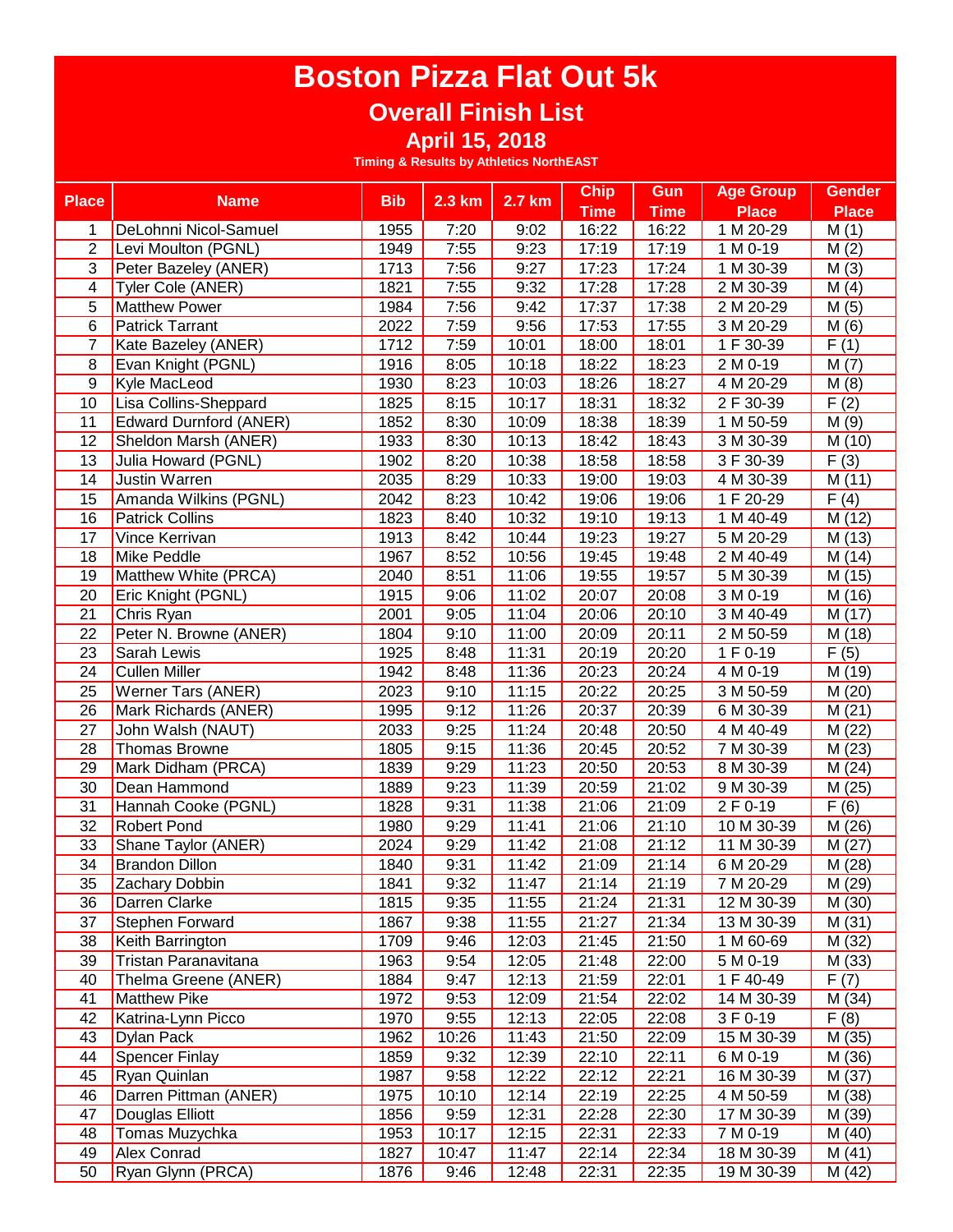# **Overall Finish List**

**April 15, 2018**

| <b>Place</b>    | <b>Name</b>                   | <b>Bib</b> | 2.3 km | 2.7 km | <b>Chip</b>   | Gun         | <b>Age Group</b> | <b>Gender</b>       |
|-----------------|-------------------------------|------------|--------|--------|---------------|-------------|------------------|---------------------|
|                 |                               |            |        |        | <b>Time</b>   | <b>Time</b> | <b>Place</b>     | <b>Place</b>        |
| 1               | DeLohnni Nicol-Samuel         | 1955       | 7:20   | 9:02   | 16:22         | 16:22       | 1 M 20-29        | M(1)                |
| 2               | Levi Moulton (PGNL)           | 1949       | 7:55   | 9:23   | 17:19         | 17:19       | 1 M 0-19         | M(2)                |
| 3               | Peter Bazeley (ANER)          | 1713       | 7:56   | 9:27   | 17:23         | 17:24       | 1 M 30-39        | M(3)                |
| 4               | Tyler Cole (ANER)             | 1821       | 7:55   | 9:32   | 17:28         | 17:28       | 2 M 30-39        | M(4)                |
| 5               | <b>Matthew Power</b>          | 1984       | 7:56   | 9:42   | 17:37         | 17:38       | 2 M 20-29        | M(5)                |
| 6               | <b>Patrick Tarrant</b>        | 2022       | 7:59   | 9:56   | 17:53         | 17:55       | 3 M 20-29        | M(6)                |
| 7               | Kate Bazeley (ANER)           | 1712       | 7:59   | 10:01  | 18:00         | 18:01       | 1 F 30-39        | F(1)                |
| 8               | Evan Knight (PGNL)            | 1916       | 8:05   | 10:18  | 18:22         | 18:23       | 2 M 0-19         | M(7)                |
| 9               | Kyle MacLeod                  | 1930       | 8:23   | 10:03  | 18:26         | 18:27       | 4 M 20-29        | M(8)                |
| 10              | Lisa Collins-Sheppard         | 1825       | 8:15   | 10:17  | 18:31         | 18:32       | 2 F 30-39        | F(2)                |
| 11              | <b>Edward Durnford (ANER)</b> | 1852       | 8:30   | 10:09  | 18:38         | 18:39       | 1 M 50-59        | M(9)                |
| 12              | Sheldon Marsh (ANER)          | 1933       | 8:30   | 10:13  | 18:42         | 18:43       | 3 M 30-39        | M (10)              |
| 13              | Julia Howard (PGNL)           | 1902       | 8:20   | 10:38  | 18:58         | 18:58       | 3 F 30-39        | F(3)                |
| 14              | <b>Justin Warren</b>          | 2035       | 8:29   | 10:33  | 19:00         | 19:03       | 4 M 30-39        | M(11)               |
| 15              | Amanda Wilkins (PGNL)         | 2042       | 8:23   | 10:42  | 19:06         | 19:06       | 1 F 20-29        | F(4)                |
| 16              | <b>Patrick Collins</b>        | 1823       | 8:40   | 10:32  | 19:10         | 19:13       | 1 M 40-49        | M (12)              |
| 17              | Vince Kerrivan                | 1913       | 8:42   | 10:44  | 19:23         | 19:27       | 5 M 20-29        | M (13)              |
| 18              | Mike Peddle                   | 1967       | 8:52   | 10:56  | 19:45         | 19:48       | 2 M 40-49        | M (14)              |
| 19              | Matthew White (PRCA)          | 2040       | 8:51   | 11:06  | 19:55         | 19:57       | 5 M 30-39        | M (15)              |
| 20              | Eric Knight (PGNL)            | 1915       | 9:06   | 11:02  | 20:07         | 20:08       | 3 M 0-19         | M (16)              |
| 21              | Chris Ryan                    | 2001       | 9:05   | 11:04  | 20:06         | 20:10       | 3 M 40-49        | M (17)              |
| 22              | Peter N. Browne (ANER)        | 1804       | 9:10   | 11:00  | 20:09         | 20:11       | 2 M 50-59        | M (18)              |
| 23              | Sarah Lewis                   | 1925       | 8:48   | 11:31  | 20:19         | 20:20       | 1 F 0-19         | F(5)                |
| $\overline{24}$ | <b>Cullen Miller</b>          | 1942       | 8:48   | 11:36  | 20:23         | 20:24       | 4 M 0-19         | M (19)              |
| 25              | Werner Tars (ANER)            | 2023       | 9:10   | 11:15  | 20:22         | 20:25       | 3 M 50-59        | M (20)              |
| 26              | Mark Richards (ANER)          | 1995       | 9:12   | 11:26  | 20:37         | 20:39       | 6 M 30-39        | M(21)               |
| 27              | John Walsh (NAUT)             | 2033       | 9:25   | 11:24  | 20:48         | 20:50       | 4 M 40-49        | M (22)              |
| 28              | <b>Thomas Browne</b>          | 1805       | 9:15   | 11:36  | 20:45         | 20:52       | 7 M 30-39        | M(23)               |
| 29              | Mark Didham (PRCA)            | 1839       | 9:29   | 11:23  | 20:50         | 20:53       | 8 M 30-39        | M(24)               |
| 30              | Dean Hammond                  | 1889       | 9:23   | 11:39  | 20:59         | 21:02       | 9 M 30-39        | M (25)              |
| 31              | Hannah Cooke (PGNL)           | 1828       | 9:31   | 11:38  | 21:06         | 21:09       | 2 F 0-19         | F(6)                |
| 32              | <b>Robert Pond</b>            | 1980       | 9:29   | 11:41  | 21:06         | 21:10       | 10 M 30-39       | M (26)              |
| 33              | Shane Taylor (ANER)           | 2024       | 9:29   | 11:42  | 21:08         | 21:12       | 11 M 30-39       | M(27)               |
| 34              | <b>Brandon Dillon</b>         | 1840       | 9:31   | 11:42  | 21:09         | 21:14       | 6 M 20-29        | $\overline{M}$ (28) |
| $\overline{35}$ | <b>Zachary Dobbin</b>         | 1841       | 9:32   |        | $11:47$ 21:14 | 21:19       | 7 M 20-29        | M(29)               |
| 36              | Darren Clarke                 | 1815       | 9:35   | 11:55  | 21:24         | 21:31       | 12 M 30-39       | M (30)              |
| 37              | Stephen Forward               | 1867       | 9:38   | 11:55  | 21:27         | 21:34       | 13 M 30-39       | M(31)               |
| 38              | Keith Barrington              | 1709       | 9:46   | 12:03  | 21:45         | 21:50       | 1 M 60-69        | M (32)              |
| 39              | Tristan Paranavitana          | 1963       | 9:54   | 12:05  | 21:48         | 22:00       | 5 M 0-19         | M (33)              |
| 40              | Thelma Greene (ANER)          | 1884       | 9:47   | 12:13  | 21:59         | 22:01       | 1 F 40-49        | F(7)                |
| 41              | <b>Matthew Pike</b>           | 1972       | 9:53   | 12:09  | 21:54         | 22:02       | 14 M 30-39       | M (34)              |
| 42              | Katrina-Lynn Picco            | 1970       | 9:55   | 12:13  | 22:05         | 22:08       | 3 F 0-19         | F(8)                |
| 43              | <b>Dylan Pack</b>             | 1962       | 10:26  | 11:43  | 21:50         | 22:09       | 15 M 30-39       | M (35)              |
| 44              | <b>Spencer Finlay</b>         | 1859       | 9:32   | 12:39  | 22:10         | 22:11       | 6 M 0-19         | M (36)              |
| 45              | Ryan Quinlan                  | 1987       | 9:58   | 12:22  | 22:12         | 22:21       | 16 M 30-39       | M (37)              |
| 46              | Darren Pittman (ANER)         | 1975       | 10:10  | 12:14  | 22:19         | 22:25       | 4 M 50-59        | M (38)              |
| 47              | Douglas Elliott               | 1856       | 9:59   | 12:31  | 22:28         | 22:30       | 17 M 30-39       | M (39)              |
| 48              | Tomas Muzychka                | 1953       | 10:17  | 12:15  | 22:31         | 22:33       | 7 M 0-19         | M(40)               |
| 49              | Alex Conrad                   | 1827       | 10:47  | 11:47  | 22:14         | 22:34       | 18 M 30-39       | M(41)               |
| 50              | Ryan Glynn (PRCA)             | 1876       | 9:46   | 12:48  | 22:31         | 22:35       | 19 M 30-39       | M (42)              |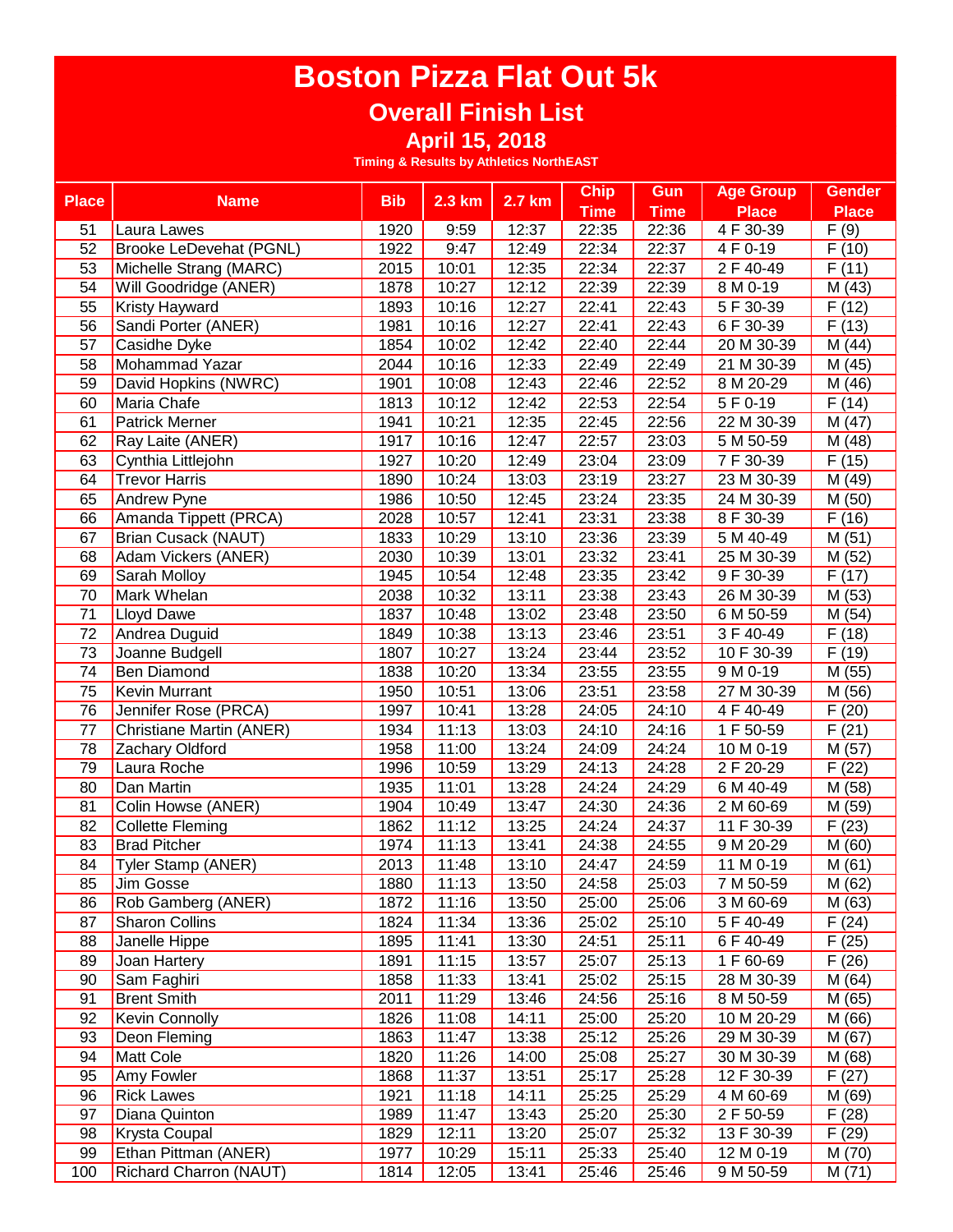### **Overall Finish List**

**April 15, 2018**

| <b>Place</b>    | <b>Name</b>                    | <b>Bib</b> | $2.3$ km           | 2.7 km | <b>Chip</b> | <b>Gun</b>  | <b>Age Group</b>       | <b>Gender</b>       |
|-----------------|--------------------------------|------------|--------------------|--------|-------------|-------------|------------------------|---------------------|
|                 |                                |            |                    |        | <b>Time</b> | <b>Time</b> | <b>Place</b>           | <b>Place</b>        |
| 51              | Laura Lawes                    | 1920       | 9:59               | 12:37  | 22:35       | 22:36       | $\overline{4}$ F 30-39 | F(9)                |
| 52              | <b>Brooke LeDevehat (PGNL)</b> | 1922       | 9:47               | 12:49  | 22:34       | 22:37       | 4 F 0-19               | F(10)               |
| 53              | Michelle Strang (MARC)         | 2015       | 10:01              | 12:35  | 22:34       | 22:37       | 2 F 40-49              | F(11)               |
| 54              | Will Goodridge (ANER)          | 1878       | 10:27              | 12:12  | 22:39       | 22:39       | 8 M 0-19               | M (43)              |
| 55              | <b>Kristy Hayward</b>          | 1893       | 10:16              | 12:27  | 22:41       | 22:43       | 5 F 30-39              | F(12)               |
| 56              | Sandi Porter (ANER)            | 1981       | 10:16              | 12:27  | 22:41       | 22:43       | 6 F 30-39              | F(13)               |
| 57              | Casidhe Dyke                   | 1854       | 10:02              | 12:42  | 22:40       | 22:44       | 20 M 30-39             | M (44)              |
| 58              | Mohammad Yazar                 | 2044       | 10:16              | 12:33  | 22:49       | 22:49       | 21 M 30-39             | M (45)              |
| 59              | David Hopkins (NWRC)           | 1901       | 10:08              | 12:43  | 22:46       | 22:52       | 8 M 20-29              | M (46)              |
| 60              | Maria Chafe                    | 1813       | 10:12              | 12:42  | 22:53       | 22:54       | 5 F 0-19               | F(14)               |
| 61              | <b>Patrick Merner</b>          | 1941       | 10:21              | 12:35  | 22:45       | 22:56       | 22 M 30-39             | M (47)              |
| 62              | Ray Laite (ANER)               | 1917       | 10:16              | 12:47  | 22:57       | 23:03       | 5 M 50-59              | M (48)              |
| 63              | Cynthia Littlejohn             | 1927       | 10:20              | 12:49  | 23:04       | 23:09       | 7 F 30-39              | F(15)               |
| 64              | <b>Trevor Harris</b>           | 1890       | 10:24              | 13:03  | 23:19       | 23:27       | 23 M 30-39             | M (49)              |
| 65              | Andrew Pyne                    | 1986       | 10:50              | 12:45  | 23:24       | 23:35       | 24 M 30-39             | M (50)              |
| 66              | Amanda Tippett (PRCA)          | 2028       | 10:57              | 12:41  | 23:31       | 23:38       | 8 F 30-39              | F(16)               |
| 67              | <b>Brian Cusack (NAUT)</b>     | 1833       | 10:29              | 13:10  | 23:36       | 23:39       | 5 M 40-49              | M(51)               |
| 68              | Adam Vickers (ANER)            | 2030       | 10:39              | 13:01  | 23:32       | 23:41       | 25 M 30-39             | $\overline{M}$ (52) |
| 69              | Sarah Molloy                   | 1945       | 10:54              | 12:48  | 23:35       | 23:42       | 9 F 30-39              | F(17)               |
| 70              | Mark Whelan                    | 2038       | 10:32              | 13:11  | 23:38       | 23:43       | 26 M 30-39             | M (53)              |
| 71              | <b>Lloyd Dawe</b>              | 1837       | 10:48              | 13:02  | 23:48       | 23:50       | 6 M 50-59              | M (54)              |
| $\overline{72}$ | Andrea Duguid                  | 1849       | 10:38              | 13:13  | 23:46       | 23:51       | 3 F 40-49              | F(18)               |
| 73              | Joanne Budgell                 | 1807       | 10:27              | 13:24  | 23:44       | 23:52       | 10 F 30-39             | F(19)               |
| 74              | <b>Ben Diamond</b>             | 1838       | 10:20              | 13:34  | 23:55       | 23:55       | 9 M 0-19               | M (55)              |
| 75              | <b>Kevin Murrant</b>           | 1950       | 10:51              | 13:06  | 23:51       | 23:58       | 27 M 30-39             | M (56)              |
| $\overline{76}$ | Jennifer Rose (PRCA)           | 1997       | 10:41              | 13:28  | 24:05       | 24:10       | 4 F 40-49              | F(20)               |
| 77              | Christiane Martin (ANER)       | 1934       | 11:13              | 13:03  | 24:10       | 24:16       | 1 F 50-59              | F(21)               |
| 78              | Zachary Oldford                | 1958       | 11:00              | 13:24  | 24:09       | 24:24       | 10 M 0-19              | M (57)              |
| 79              | Laura Roche                    | 1996       | $\overline{10:}59$ | 13:29  | 24:13       | 24:28       | 2 F 20-29              | F(22)               |
| 80              | Dan Martin                     | 1935       | 11:01              | 13:28  | 24:24       | 24:29       | 6 M 40-49              | M (58)              |
| 81              | Colin Howse (ANER)             | 1904       | 10:49              | 13:47  | 24:30       | 24:36       | 2 M 60-69              | M (59)              |
| 82              | <b>Collette Fleming</b>        | 1862       | 11:12              | 13:25  | 24:24       | 24:37       | 11 F 30-39             | F(23)               |
| 83              | <b>Brad Pitcher</b>            | 1974       | 11:13              | 13:41  | 24:38       | 24:55       | 9 M 20-29              | M(60)               |
| 84              | Tyler Stamp (ANER)             | 2013       | 11:48              | 13:10  | 24:47       | 24:59       | 11 M 0-19              | M(61)               |
| 85              | Jim Gosse                      | 1880       | 11:13              | 13:50  | 24:58       | 25:03       | 7 M 50-59              | M(62)               |
| 86              | Rob Gamberg (ANER)             | 1872       | 11:16              | 13:50  | 25:00       | 25:06       | 3 M 60-69              | M (63)              |
| 87              | <b>Sharon Collins</b>          | 1824       | 11:34              | 13:36  | 25:02       | 25:10       | 5 F 40-49              | F(24)               |
| 88              | Janelle Hippe                  | 1895       | 11:41              | 13:30  | 24:51       | 25:11       | 6 F 40-49              | F(25)               |
| 89              | Joan Hartery                   | 1891       | 11:15              | 13:57  | 25:07       | 25:13       | 1 F 60-69              | F(26)               |
| 90              | Sam Faghiri                    | 1858       | 11:33              | 13:41  | 25:02       | 25:15       | 28 M 30-39             | M(64)               |
| 91              | <b>Brent Smith</b>             | 2011       | 11:29              | 13:46  | 24:56       | 25:16       | 8 M 50-59              | M (65)              |
| 92              | <b>Kevin Connolly</b>          | 1826       | 11:08              | 14:11  | 25:00       | 25:20       | 10 M 20-29             | M (66)              |
| 93              | Deon Fleming                   | 1863       | 11:47              | 13:38  | 25:12       | 25:26       | 29 M 30-39             | M (67)              |
| 94              | <b>Matt Cole</b>               | 1820       | 11:26              | 14:00  | 25:08       | 25:27       | 30 M 30-39             | M (68)              |
| 95              | Amy Fowler                     | 1868       | 11:37              | 13:51  | 25:17       | 25:28       | 12 F 30-39             | F(27)               |
| 96              | <b>Rick Lawes</b>              | 1921       | 11:18              | 14:11  | 25:25       | 25:29       | 4 M 60-69              | M (69)              |
| 97              | Diana Quinton                  | 1989       | 11:47              | 13:43  | 25:20       | 25:30       | 2 F 50-59              | F(28)               |
| 98              | <b>Krysta Coupal</b>           | 1829       | 12:11              | 13:20  | 25:07       | 25:32       | 13 F 30-39             | F(29)               |
| 99              | Ethan Pittman (ANER)           | 1977       | 10:29              | 15:11  | 25:33       | 25:40       | 12 M 0-19              | M (70)              |
| 100             | <b>Richard Charron (NAUT)</b>  | 1814       | 12:05              | 13:41  | 25:46       | 25:46       | 9 M 50-59              | M(71)               |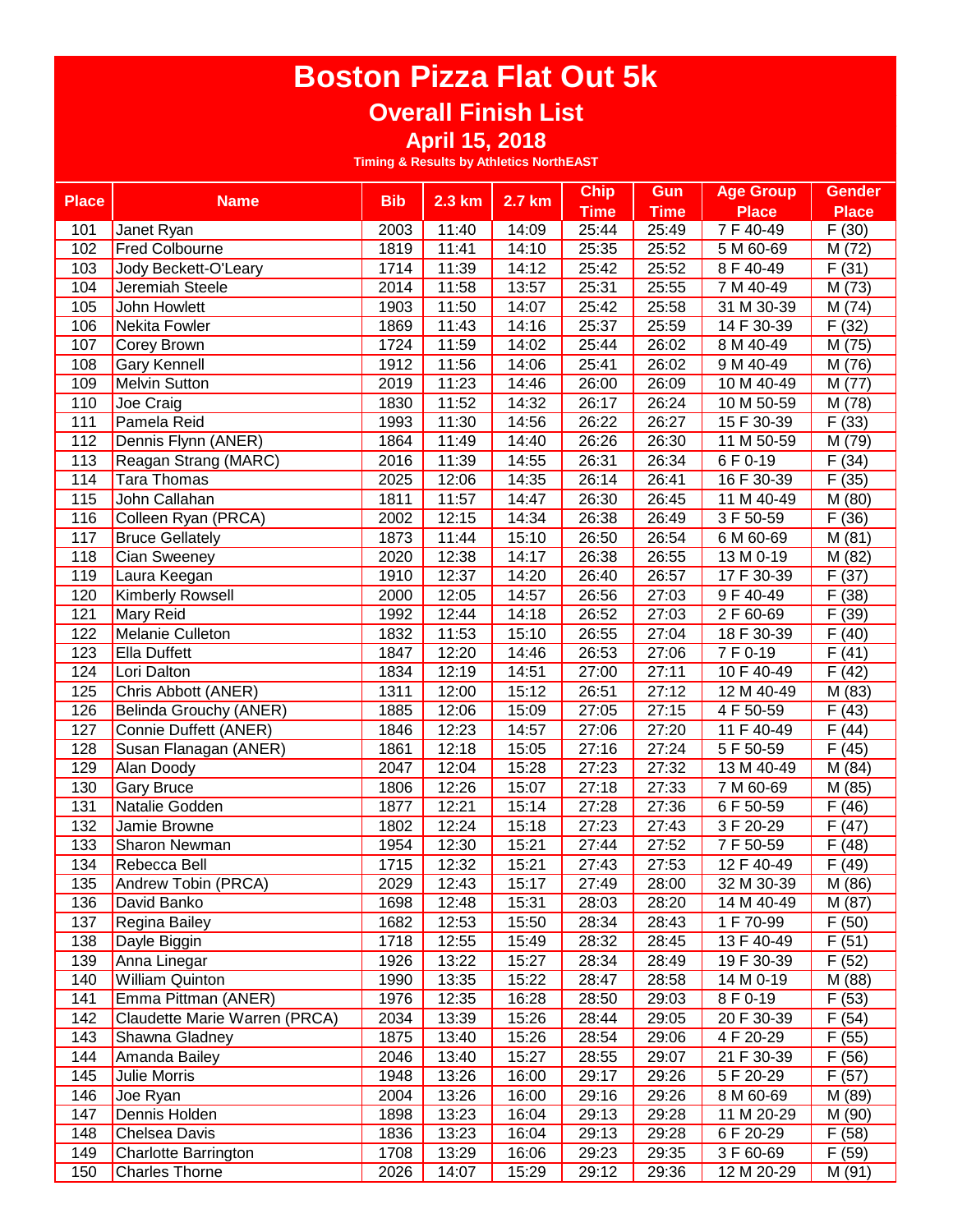#### **Overall Finish List**

**April 15, 2018**

| <b>Bib</b><br>2.7 km<br><b>Place</b><br>2.3 km<br><b>Name</b><br><b>Time</b><br><b>Time</b><br><b>Place</b><br><b>Place</b><br>7 F 40-49<br>11:40<br>25:44<br>25:49<br>F(30)<br>2003<br>14:09<br>101<br>Janet Ryan<br><b>Fred Colbourne</b><br>11:41<br>25:35<br>5 M 60-69<br>M (72)<br>102<br>1819<br>14:10<br>25:52<br>F(31)<br>1714<br>11:39<br>14:12<br>25:42<br>25:52<br>8 F 40-49<br>103<br>Jody Beckett-O'Leary<br>2014<br>11:58<br>13:57<br>25:31<br>25:55<br>7 M 40-49<br>M (73)<br>104<br>Jeremiah Steele<br>M (74)<br>1903<br>11:50<br>14:07<br>25:42<br>25:58<br>31 M 30-39<br>105<br>John Howlett<br>14 F 30-39<br>F(32)<br>Nekita Fowler<br>11:43<br>14:16<br>25:37<br>106<br>1869<br>25:59<br>1724<br>11:59<br>14:02<br>25:44<br>8 M 40-49<br>M (75)<br>107<br><b>Corey Brown</b><br>26:02<br><b>Gary Kennell</b><br>11:56<br>14:06<br>25:41<br>M (76)<br>108<br>1912<br>26:02<br>9 M 40-49 |
|------------------------------------------------------------------------------------------------------------------------------------------------------------------------------------------------------------------------------------------------------------------------------------------------------------------------------------------------------------------------------------------------------------------------------------------------------------------------------------------------------------------------------------------------------------------------------------------------------------------------------------------------------------------------------------------------------------------------------------------------------------------------------------------------------------------------------------------------------------------------------------------------------------|
|                                                                                                                                                                                                                                                                                                                                                                                                                                                                                                                                                                                                                                                                                                                                                                                                                                                                                                            |
|                                                                                                                                                                                                                                                                                                                                                                                                                                                                                                                                                                                                                                                                                                                                                                                                                                                                                                            |
|                                                                                                                                                                                                                                                                                                                                                                                                                                                                                                                                                                                                                                                                                                                                                                                                                                                                                                            |
|                                                                                                                                                                                                                                                                                                                                                                                                                                                                                                                                                                                                                                                                                                                                                                                                                                                                                                            |
|                                                                                                                                                                                                                                                                                                                                                                                                                                                                                                                                                                                                                                                                                                                                                                                                                                                                                                            |
|                                                                                                                                                                                                                                                                                                                                                                                                                                                                                                                                                                                                                                                                                                                                                                                                                                                                                                            |
|                                                                                                                                                                                                                                                                                                                                                                                                                                                                                                                                                                                                                                                                                                                                                                                                                                                                                                            |
|                                                                                                                                                                                                                                                                                                                                                                                                                                                                                                                                                                                                                                                                                                                                                                                                                                                                                                            |
|                                                                                                                                                                                                                                                                                                                                                                                                                                                                                                                                                                                                                                                                                                                                                                                                                                                                                                            |
| 11:23<br>14:46<br>10 M 40-49<br>M (77)<br>109<br><b>Melvin Sutton</b><br>2019<br>26:00<br>26:09                                                                                                                                                                                                                                                                                                                                                                                                                                                                                                                                                                                                                                                                                                                                                                                                            |
| 11:52<br>14:32<br>26:24<br>110<br>Joe Craig<br>1830<br>26:17<br>10 M 50-59<br>M (78)                                                                                                                                                                                                                                                                                                                                                                                                                                                                                                                                                                                                                                                                                                                                                                                                                       |
| Pamela Reid<br>11:30<br>14:56<br>26:27<br>15 F 30-39<br>F(33)<br>111<br>1993<br>26:22                                                                                                                                                                                                                                                                                                                                                                                                                                                                                                                                                                                                                                                                                                                                                                                                                      |
| 112<br>Dennis Flynn (ANER)<br>1864<br>11:49<br>14:40<br>26:26<br>26:30<br>11 M 50-59<br>M (79)                                                                                                                                                                                                                                                                                                                                                                                                                                                                                                                                                                                                                                                                                                                                                                                                             |
| 113<br>Reagan Strang (MARC)<br>11:39<br>14:55<br>26:31<br>26:34<br>6 F 0-19<br>F(34)<br>2016                                                                                                                                                                                                                                                                                                                                                                                                                                                                                                                                                                                                                                                                                                                                                                                                               |
| 114<br><b>Tara Thomas</b><br>2025<br>12:06<br>14:35<br>26:14<br>16 F 30-39<br>F(35)<br>26:41                                                                                                                                                                                                                                                                                                                                                                                                                                                                                                                                                                                                                                                                                                                                                                                                               |
| 115<br>John Callahan<br>1811<br>11:57<br>11 M 40-49<br>14:47<br>26:30<br>26:45<br>M (80)                                                                                                                                                                                                                                                                                                                                                                                                                                                                                                                                                                                                                                                                                                                                                                                                                   |
| 2002<br>12:15<br>14:34<br>F(36)<br>116<br>Colleen Ryan (PRCA)<br>26:38<br>26:49<br>3 F 50-59                                                                                                                                                                                                                                                                                                                                                                                                                                                                                                                                                                                                                                                                                                                                                                                                               |
| 117<br><b>Bruce Gellately</b><br>1873<br>11:44<br>15:10<br>26:54<br>6 M 60-69<br>M(81)<br>26:50                                                                                                                                                                                                                                                                                                                                                                                                                                                                                                                                                                                                                                                                                                                                                                                                            |
| 118<br>Cian Sweeney<br>12:38<br>14:17<br>26:38<br>13 M 0-19<br>$\overline{M}$ (82)<br>2020<br>26:55                                                                                                                                                                                                                                                                                                                                                                                                                                                                                                                                                                                                                                                                                                                                                                                                        |
| Laura Keegan<br>12:37<br>26:57<br>17 F 30-39<br>F(37)<br>119<br>1910<br>14:20<br>26:40                                                                                                                                                                                                                                                                                                                                                                                                                                                                                                                                                                                                                                                                                                                                                                                                                     |
| $\overline{F(38)}$<br>120<br>2000<br>12:05<br>14:57<br>26:56<br>27:03<br>9 F 40-49<br><b>Kimberly Rowsell</b>                                                                                                                                                                                                                                                                                                                                                                                                                                                                                                                                                                                                                                                                                                                                                                                              |
| F(39)<br>121<br>Mary Reid<br>12:44<br>14:18<br>26:52<br>27:03<br>2 F 60-69<br>1992                                                                                                                                                                                                                                                                                                                                                                                                                                                                                                                                                                                                                                                                                                                                                                                                                         |
| 18 F 30-39<br>122<br>Melanie Culleton<br>1832<br>11:53<br>15:10<br>26:55<br>27:04<br>F(40)                                                                                                                                                                                                                                                                                                                                                                                                                                                                                                                                                                                                                                                                                                                                                                                                                 |
| <b>Ella Duffett</b><br>12:20<br>14:46<br>26:53<br>7 F 0-19<br>F(41)<br>123<br>1847<br>27:06                                                                                                                                                                                                                                                                                                                                                                                                                                                                                                                                                                                                                                                                                                                                                                                                                |
| F(42)<br>124<br>Lori Dalton<br>1834<br>12:19<br>14:51<br>27:00<br>27:11<br>10 F 40-49                                                                                                                                                                                                                                                                                                                                                                                                                                                                                                                                                                                                                                                                                                                                                                                                                      |
| 125<br>12:00<br>15:12<br>26:51<br>27:12<br>M (83)<br>Chris Abbott (ANER)<br>1311<br>12 M 40-49                                                                                                                                                                                                                                                                                                                                                                                                                                                                                                                                                                                                                                                                                                                                                                                                             |
| 126<br>12:06<br>15:09<br>27:05<br>27:15<br>4 F 50-59<br>F(43)<br>Belinda Grouchy (ANER)<br>1885                                                                                                                                                                                                                                                                                                                                                                                                                                                                                                                                                                                                                                                                                                                                                                                                            |
| 127<br>12:23<br>27:20<br>11 F 40-49<br>F(44)<br>Connie Duffett (ANER)<br>1846<br>14:57<br>27:06                                                                                                                                                                                                                                                                                                                                                                                                                                                                                                                                                                                                                                                                                                                                                                                                            |
| 12:18<br>15:05<br>27:24<br>5F 50-59<br>F(45)<br>128<br>Susan Flanagan (ANER)<br>1861<br>27:16                                                                                                                                                                                                                                                                                                                                                                                                                                                                                                                                                                                                                                                                                                                                                                                                              |
| 12:04<br>129<br>Alan Doody<br>2047<br>15:28<br>27:23<br>27:32<br>13 M 40-49<br>M (84)                                                                                                                                                                                                                                                                                                                                                                                                                                                                                                                                                                                                                                                                                                                                                                                                                      |
| 130<br>1806<br>12:26<br>15:07<br>27:18<br>27:33<br><b>Gary Bruce</b><br>7 M 60-69<br>M (85)                                                                                                                                                                                                                                                                                                                                                                                                                                                                                                                                                                                                                                                                                                                                                                                                                |
| 131<br>1877<br>12:21<br>15:14<br>27:28<br>27:36<br>6 F 50-59<br>F(46)<br>Natalie Godden                                                                                                                                                                                                                                                                                                                                                                                                                                                                                                                                                                                                                                                                                                                                                                                                                    |
| 132<br>12:24<br>15:18<br>27:23<br>3 F 20-29<br>Jamie Browne<br>1802<br>27:43<br>F(47)                                                                                                                                                                                                                                                                                                                                                                                                                                                                                                                                                                                                                                                                                                                                                                                                                      |
| 133<br>1954<br>12:30<br>15:21<br>7F 50-59<br>F(48)<br>Sharon Newman<br>27:44<br>27:52                                                                                                                                                                                                                                                                                                                                                                                                                                                                                                                                                                                                                                                                                                                                                                                                                      |
| 12:32<br>$12F40-49$<br>134<br>Rebecca Bell<br>15:21<br>27:43<br>27:53<br>F(49)<br>1715                                                                                                                                                                                                                                                                                                                                                                                                                                                                                                                                                                                                                                                                                                                                                                                                                     |
| 135<br>2029<br>12:43<br>15:17<br>27:49<br>28:00<br>M(86)<br>Andrew Tobin (PRCA)<br>32 M 30-39                                                                                                                                                                                                                                                                                                                                                                                                                                                                                                                                                                                                                                                                                                                                                                                                              |
| 1698<br>12:48<br>15:31<br>28:20<br>14 M 40-49<br>M (87)<br>136<br>David Banko<br>28:03                                                                                                                                                                                                                                                                                                                                                                                                                                                                                                                                                                                                                                                                                                                                                                                                                     |
| F(50)<br>137<br>Regina Bailey<br>1682<br>12:53<br>15:50<br>28:34<br>28:43<br>1 F 70-99                                                                                                                                                                                                                                                                                                                                                                                                                                                                                                                                                                                                                                                                                                                                                                                                                     |
| 28:32<br>13 F 40-49<br>F(51)<br>138<br>Dayle Biggin<br>1718<br>12:55<br>15:49<br>28:45                                                                                                                                                                                                                                                                                                                                                                                                                                                                                                                                                                                                                                                                                                                                                                                                                     |
| Anna Linegar<br>13:22<br>15:27<br>28:34<br>19 F 30-39<br>F(52)<br>139<br>1926<br>28:49                                                                                                                                                                                                                                                                                                                                                                                                                                                                                                                                                                                                                                                                                                                                                                                                                     |
| <b>William Quinton</b><br>15:22<br>M (88)<br>140<br>1990<br>13:35<br>28:47<br>28:58<br>14 M 0-19                                                                                                                                                                                                                                                                                                                                                                                                                                                                                                                                                                                                                                                                                                                                                                                                           |
| 12:35<br>16:28<br>F(53)<br>141<br>Emma Pittman (ANER)<br>1976<br>28:50<br>29:03<br>8 F 0-19                                                                                                                                                                                                                                                                                                                                                                                                                                                                                                                                                                                                                                                                                                                                                                                                                |
| F(54)<br>142<br>Claudette Marie Warren (PRCA)<br>2034<br>13:39<br>15:26<br>28:44<br>29:05<br>20 F 30-39                                                                                                                                                                                                                                                                                                                                                                                                                                                                                                                                                                                                                                                                                                                                                                                                    |
| 143<br>Shawna Gladney<br>1875<br>13:40<br>15:26<br>28:54<br>4 F 20-29<br>F(55)<br>29:06                                                                                                                                                                                                                                                                                                                                                                                                                                                                                                                                                                                                                                                                                                                                                                                                                    |
| 13:40<br>21 F 30-39<br>144<br>Amanda Bailey<br>2046<br>15:27<br>28:55<br>29:07<br>F(56)                                                                                                                                                                                                                                                                                                                                                                                                                                                                                                                                                                                                                                                                                                                                                                                                                    |
| 1948<br>13:26<br>16:00<br>5 F 20-29<br>F(57)<br>145<br><b>Julie Morris</b><br>29:17<br>29:26                                                                                                                                                                                                                                                                                                                                                                                                                                                                                                                                                                                                                                                                                                                                                                                                               |
| 2004<br>13:26<br>16:00<br>29:16<br>146<br>Joe Ryan<br>29:26<br>8 M 60-69<br>M (89)                                                                                                                                                                                                                                                                                                                                                                                                                                                                                                                                                                                                                                                                                                                                                                                                                         |
| Dennis Holden<br>147<br>1898<br>13:23<br>16:04<br>29:13<br>29:28<br>11 M 20-29<br>M (90)                                                                                                                                                                                                                                                                                                                                                                                                                                                                                                                                                                                                                                                                                                                                                                                                                   |
| Chelsea Davis<br>13:23<br>16:04<br>29:13<br>29:28<br>6 F 20-29<br>F(58)<br>148<br>1836                                                                                                                                                                                                                                                                                                                                                                                                                                                                                                                                                                                                                                                                                                                                                                                                                     |
| 13:29<br>29:23<br>3 F 60-69<br>F(59)<br>149<br>1708<br>16:06<br>29:35<br><b>Charlotte Barrington</b>                                                                                                                                                                                                                                                                                                                                                                                                                                                                                                                                                                                                                                                                                                                                                                                                       |
| 2026<br>12 M 20-29<br>150<br><b>Charles Thorne</b><br>14:07<br>15:29<br>29:12<br>29:36<br>M (91)                                                                                                                                                                                                                                                                                                                                                                                                                                                                                                                                                                                                                                                                                                                                                                                                           |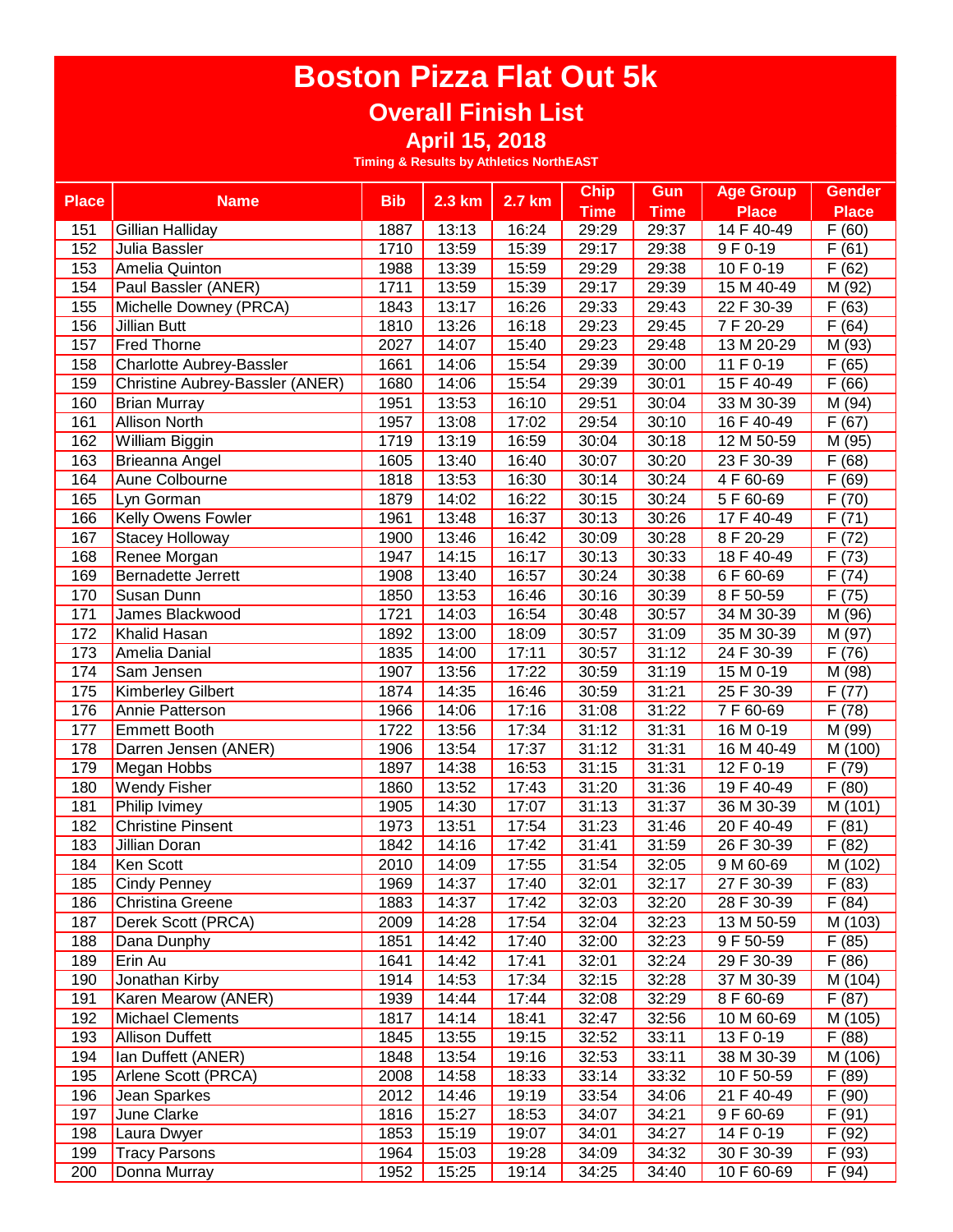### **Overall Finish List**

**April 15, 2018**

| <b>Place</b> | <b>Name</b>                     | <b>Bib</b> | $2.3$ km | 2.7 km | <b>Chip</b> | Gun         | <b>Age Group</b> | <b>Gender</b> |
|--------------|---------------------------------|------------|----------|--------|-------------|-------------|------------------|---------------|
|              |                                 |            |          |        | <b>Time</b> | <b>Time</b> | <b>Place</b>     | <b>Place</b>  |
| 151          | Gillian Halliday                | 1887       | 13:13    | 16:24  | 29:29       | 29:37       | 14 F 40-49       | F(60)         |
| 152          | Julia Bassler                   | 1710       | 13:59    | 15:39  | 29:17       | 29:38       | 9 F 0-19         | F(61)         |
| 153          | Amelia Quinton                  | 1988       | 13:39    | 15:59  | 29:29       | 29:38       | 10 F 0-19        | F(62)         |
| 154          | Paul Bassler (ANER)             | 1711       | 13:59    | 15:39  | 29:17       | 29:39       | 15 M 40-49       | M (92)        |
| 155          | Michelle Downey (PRCA)          | 1843       | 13:17    | 16:26  | 29:33       | 29:43       | 22 F 30-39       | F(63)         |
| 156          | <b>Jillian Butt</b>             | 1810       | 13:26    | 16:18  | 29:23       | 29:45       | 7F 20-29         | F(64)         |
| 157          | <b>Fred Thorne</b>              | 2027       | 14:07    | 15:40  | 29:23       | 29:48       | 13 M 20-29       | M (93)        |
| 158          | <b>Charlotte Aubrey-Bassler</b> | 1661       | 14:06    | 15:54  | 29:39       | 30:00       | 11 F 0-19        | F(65)         |
| 159          | Christine Aubrey-Bassler (ANER) | 1680       | 14:06    | 15:54  | 29:39       | 30:01       | 15 F 40-49       | F(66)         |
| 160          | <b>Brian Murray</b>             | 1951       | 13:53    | 16:10  | 29:51       | 30:04       | 33 M 30-39       | M (94)        |
| 161          | <b>Allison North</b>            | 1957       | 13:08    | 17:02  | 29:54       | 30:10       | 16 F 40-49       | F(67)         |
| 162          | William Biggin                  | 1719       | 13:19    | 16:59  | 30:04       | 30:18       | 12 M 50-59       | M (95)        |
| 163          | Brieanna Angel                  | 1605       | 13:40    | 16:40  | 30:07       | 30:20       | 23 F 30-39       | F(68)         |
| 164          | Aune Colbourne                  | 1818       | 13:53    | 16:30  | 30:14       | 30:24       | 4 F 60-69        | F(69)         |
| 165          | Lyn Gorman                      | 1879       | 14:02    | 16:22  | 30:15       | 30:24       | 5 F 60-69        | F(70)         |
| 166          | <b>Kelly Owens Fowler</b>       | 1961       | 13:48    | 16:37  | 30:13       | 30:26       | 17 F 40-49       | F(71)         |
| 167          | <b>Stacey Holloway</b>          | 1900       | 13:46    | 16:42  | 30:09       | 30:28       | 8 F 20-29        | F(72)         |
| 168          | Renee Morgan                    | 1947       | 14:15    | 16:17  | 30:13       | 30:33       | 18 F 40-49       | F(73)         |
| 169          | <b>Bernadette Jerrett</b>       | 1908       | 13:40    | 16:57  | 30:24       | 30:38       | 6 F 60-69        | F(74)         |
| 170          | Susan Dunn                      | 1850       | 13:53    | 16:46  | 30:16       | 30:39       | 8 F 50-59        | F(75)         |
| 171          | James Blackwood                 | 1721       | 14:03    | 16:54  | 30:48       | 30:57       | 34 M 30-39       | M (96)        |
| 172          | Khalid Hasan                    | 1892       | 13:00    | 18:09  | 30:57       | 31:09       | 35 M 30-39       | M (97)        |
| 173          | Amelia Danial                   | 1835       | 14:00    | 17:11  | 30:57       | 31:12       | 24 F 30-39       | F(76)         |
| 174          | Sam Jensen                      | 1907       | 13:56    | 17:22  | 30:59       | 31:19       | 15 M 0-19        | M (98)        |
| 175          | <b>Kimberley Gilbert</b>        | 1874       | 14:35    | 16:46  | 30:59       | 31:21       | 25 F 30-39       | F(77)         |
| 176          | Annie Patterson                 | 1966       | 14:06    | 17:16  | 31:08       | 31:22       | 7 F 60-69        | F(78)         |
| 177          | <b>Emmett Booth</b>             | 1722       | 13:56    | 17:34  | 31:12       | 31:31       | 16 M 0-19        | M (99)        |
| 178          | Darren Jensen (ANER)            | 1906       | 13:54    | 17:37  | 31:12       | 31:31       | 16 M 40-49       | M (100)       |
| 179          | Megan Hobbs                     | 1897       | 14:38    | 16:53  | 31:15       | 31:31       | 12 F 0-19        | F (79)        |
| 180          | <b>Wendy Fisher</b>             | 1860       | 13:52    | 17:43  | 31:20       | 31:36       | 19 F 40-49       | F(80)         |
| 181          | Philip Ivimey                   | 1905       | 14:30    | 17:07  | 31:13       | 31:37       | 36 M 30-39       | M (101)       |
| 182          | <b>Christine Pinsent</b>        | 1973       | 13:51    | 17:54  | 31:23       | 31:46       | 20 F 40-49       | F(81)         |
| 183          | Jillian Doran                   | 1842       | 14:16    | 17:42  | 31:41       | 31:59       | 26 F 30-39       | F(82)         |
| 184          | Ken Scott                       | 2010       | 14:09    | 17:55  | 31:54       | 32:05       | 9 M 60-69        | M (102)       |
| 185          | Cindy Penney                    | 1969       | 14:37    | 17:40  | 32:01       | 32:17       | 27 F 30-39       | F(83)         |
| 186          | <b>Christina Greene</b>         | 1883       | 14:37    | 17:42  | 32:03       | 32:20       | 28 F 30-39       | F(84)         |
| 187          | Derek Scott (PRCA)              | 2009       | 14:28    | 17:54  | 32:04       | 32:23       | 13 M 50-59       | M (103)       |
| 188          | Dana Dunphy                     | 1851       | 14:42    | 17:40  | 32:00       | 32:23       | 9 F 50-59        | F(85)         |
| 189          | Erin Au                         | 1641       | 14:42    | 17:41  | 32:01       | 32:24       | 29 F 30-39       | F(86)         |
| 190          | Jonathan Kirby                  | 1914       | 14:53    | 17:34  | 32:15       | 32:28       | 37 M 30-39       | M (104)       |
| 191          | Karen Mearow (ANER)             | 1939       | 14:44    | 17:44  | 32:08       | 32:29       | 8 F 60-69        | F(87)         |
| 192          | <b>Michael Clements</b>         | 1817       | 14:14    | 18:41  | 32:47       | 32:56       | 10 M 60-69       | M (105)       |
| 193          | <b>Allison Duffett</b>          | 1845       | 13:55    | 19:15  | 32:52       | 33:11       | 13 F 0-19        | F(88)         |
| 194          | Ian Duffett (ANER)              | 1848       | 13:54    | 19:16  | 32:53       | 33:11       | 38 M 30-39       | M (106)       |
| 195          | Arlene Scott (PRCA)             | 2008       | 14:58    | 18:33  | 33:14       | 33:32       | 10 F 50-59       | F(89)         |
| 196          | Jean Sparkes                    | 2012       | 14:46    | 19:19  | 33:54       | 34:06       | $21 F 40-49$     | F (90)        |
| 197          | June Clarke                     | 1816       | 15:27    | 18:53  | 34:07       | 34:21       | 9 F 60-69        | F(91)         |
| 198          | Laura Dwyer                     | 1853       | 15:19    | 19:07  | 34:01       | 34:27       | 14 F 0-19        | F (92)        |
| 199          | <b>Tracy Parsons</b>            | 1964       | 15:03    | 19:28  | 34:09       | 34:32       | 30 F 30-39       | F(93)         |
| 200          | Donna Murray                    | 1952       | 15:25    | 19:14  | 34:25       | 34:40       | 10 F 60-69       | F(94)         |